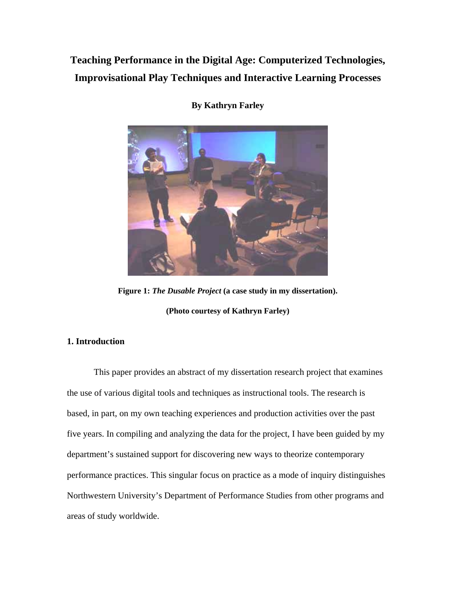# **Teaching Performance in the Digital Age: Computerized Technologies, Improvisational Play Techniques and Interactive Learning Processes**



**By Kathryn Farley** 

**Figure 1:** *The Dusable Project* **(a case study in my dissertation). (Photo courtesy of Kathryn Farley)** 

## **1. Introduction**

This paper provides an abstract of my dissertation research project that examines the use of various digital tools and techniques as instructional tools. The research is based, in part, on my own teaching experiences and production activities over the past five years. In compiling and analyzing the data for the project, I have been guided by my department's sustained support for discovering new ways to theorize contemporary performance practices. This singular focus on practice as a mode of inquiry distinguishes Northwestern University's Department of Performance Studies from other programs and areas of study worldwide.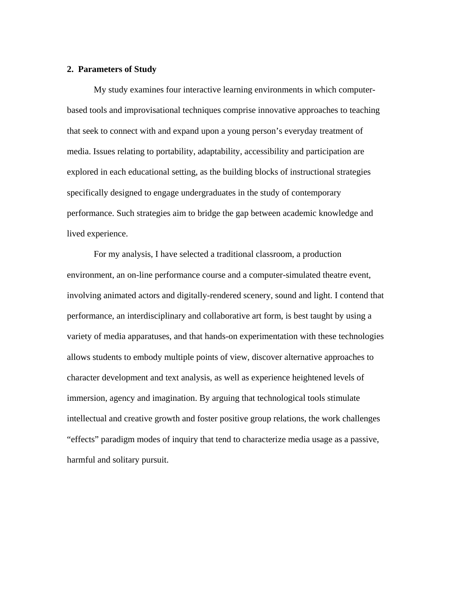#### **2. Parameters of Study**

My study examines four interactive learning environments in which computerbased tools and improvisational techniques comprise innovative approaches to teaching that seek to connect with and expand upon a young person's everyday treatment of media. Issues relating to portability, adaptability, accessibility and participation are explored in each educational setting, as the building blocks of instructional strategies specifically designed to engage undergraduates in the study of contemporary performance. Such strategies aim to bridge the gap between academic knowledge and lived experience.

For my analysis, I have selected a traditional classroom, a production environment, an on-line performance course and a computer-simulated theatre event, involving animated actors and digitally-rendered scenery, sound and light. I contend that performance, an interdisciplinary and collaborative art form, is best taught by using a variety of media apparatuses, and that hands-on experimentation with these technologies allows students to embody multiple points of view, discover alternative approaches to character development and text analysis, as well as experience heightened levels of immersion, agency and imagination. By arguing that technological tools stimulate intellectual and creative growth and foster positive group relations, the work challenges "effects" paradigm modes of inquiry that tend to characterize media usage as a passive, harmful and solitary pursuit.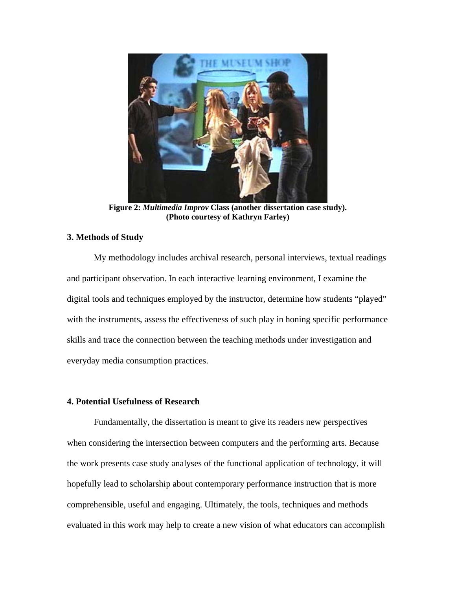

**Figure 2:** *Multimedia Improv* **Class (another dissertation case study). (Photo courtesy of Kathryn Farley)** 

## **3. Methods of Study**

My methodology includes archival research, personal interviews, textual readings and participant observation. In each interactive learning environment, I examine the digital tools and techniques employed by the instructor, determine how students "played" with the instruments, assess the effectiveness of such play in honing specific performance skills and trace the connection between the teaching methods under investigation and everyday media consumption practices.

## **4. Potential Usefulness of Research**

Fundamentally, the dissertation is meant to give its readers new perspectives when considering the intersection between computers and the performing arts. Because the work presents case study analyses of the functional application of technology, it will hopefully lead to scholarship about contemporary performance instruction that is more comprehensible, useful and engaging. Ultimately, the tools, techniques and methods evaluated in this work may help to create a new vision of what educators can accomplish